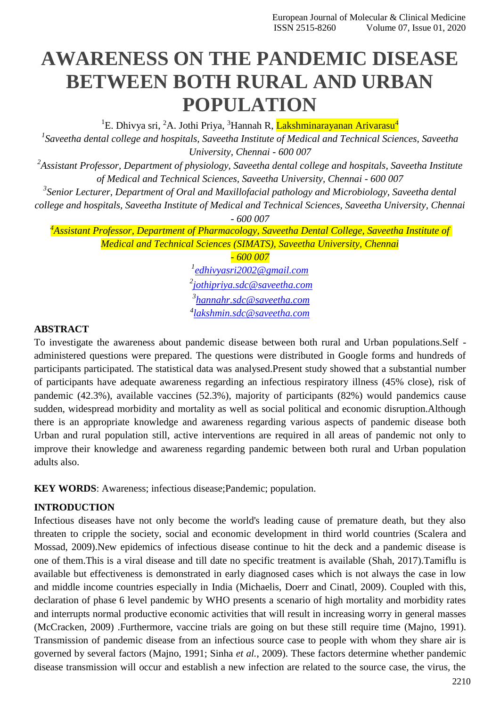# **AWARENESS ON THE PANDEMIC DISEASE BETWEEN BOTH RURAL AND URBAN POPULATION**

<sup>1</sup>E. Dhivya sri, <sup>2</sup>A. Jothi Priya, <sup>3</sup>Hannah R, <mark>Lakshminarayanan Arivarasu<sup>4</sup></mark>

*1 Saveetha dental college and hospitals, Saveetha Institute of Medical and Technical Sciences, Saveetha University, Chennai - 600 007*

*2 Assistant Professor, Department of physiology, Saveetha dental college and hospitals, Saveetha Institute of Medical and Technical Sciences, Saveetha University, Chennai - 600 007*

*3 Senior Lecturer, Department of Oral and Maxillofacial pathology and Microbiology, Saveetha dental college and hospitals, Saveetha Institute of Medical and Technical Sciences, Saveetha University, Chennai*

*- 600 007*

*<sup>4</sup>Assistant Professor, Department of Pharmacology, Saveetha Dental College, Saveetha Institute of Medical and Technical Sciences (SIMATS), Saveetha University, Chennai*

*- 600 007*

 *[edhivyasri2002@gmail.com](mailto:edhivyasri2002@gmail.com) [jothipriya.sdc@saveetha.com](mailto:jothipriya.sdc@saveetha.com) [hannahr.sdc@saveetha.com](mailto:hannahr.sdc@saveetha.com) [lakshmin.sdc@saveetha.com](mailto:lakshmin.sdc@saveetha.com)*

#### **ABSTRACT**

To investigate the awareness about pandemic disease between both rural and Urban populations.Self administered questions were prepared. The questions were distributed in Google forms and hundreds of participants participated. The statistical data was analysed.Present study showed that a substantial number of participants have adequate awareness regarding an infectious respiratory illness (45% close), risk of pandemic (42.3%), available vaccines (52.3%), majority of participants (82%) would pandemics cause sudden, widespread morbidity and mortality as well as social political and economic disruption.Although there is an appropriate knowledge and awareness regarding various aspects of pandemic disease both Urban and rural population still, active interventions are required in all areas of pandemic not only to improve their knowledge and awareness regarding pandemic between both rural and Urban population adults also.

**KEY WORDS**: Awareness; infectious disease;Pandemic; population.

## **INTRODUCTION**

Infectious diseases have not only become the world's leading cause of premature death, but they also threaten to cripple the society, social and economic development in third world countries [\(Scalera and](https://paperpile.com/c/6lhJLh/uIp5) [Mossad, 2009\).](https://paperpile.com/c/6lhJLh/uIp5)New epidemics of infectious disease continue to hit the deck and a pandemic disease is one of them.This is a viral disease and till date no specific treatment is available [\(Shah, 2017\).](https://paperpile.com/c/6lhJLh/Ohcg)Tamiflu is available but effectiveness is demonstrated in early diagnosed cases which is not always the case in low and middle income countries especially in India [\(Michaelis, Doerr and Cinatl, 2009\).](https://paperpile.com/c/6lhJLh/Fx6E) Coupled with this, declaration of phase 6 level pandemic by WHO presents a scenario of high mortality and morbidity rates and interrupts normal productive economic activities that will result in increasing worry in general masses [\(McCracken, 2009\) .](https://paperpile.com/c/6lhJLh/eDPp)Furthermore, vaccine trials are going on but these still require time [\(Majno, 1991\).](https://paperpile.com/c/6lhJLh/m6fO) Transmission of pandemic disease from an infectious source case to people with whom they share air is governed by several factors [\(Majno, 1991; Sinha](https://paperpile.com/c/6lhJLh/jbSg%2Bm6fO) *et al.*, 2009). These factors determine whether pandemic disease transmission will occur and establish a new infection are related to the source case, the virus, the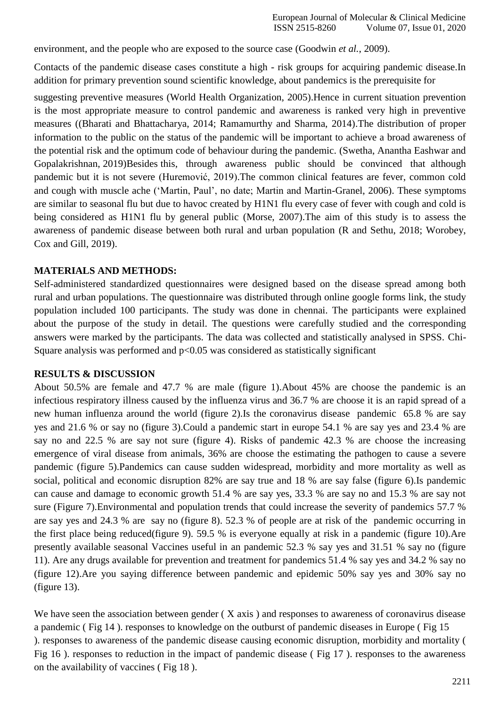environment, and the people who are exposed to the source case [\(Goodwin](https://paperpile.com/c/6lhJLh/TAsX) *et al.*, 2009).

Contacts of the pandemic disease cases constitute a high - risk groups for acquiring pandemic disease.In addition for primary prevention sound scientific knowledge, about pandemics is the prerequisite for

suggesting preventive measures [\(World Health Organization, 2005\).](https://paperpile.com/c/6lhJLh/mcYS)Hence in current situation prevention is the most appropriate measure to control pandemic and awareness is ranked very high in preventive measures [\(\(Bharati and Bhattacharya, 2014; Ramamurthy and Sharma, 2014\).](https://paperpile.com/c/6lhJLh/QPt7%2BuF1W)The distribution of proper information to the public on the status of the pandemic will be important to achieve a broad awareness of the potential risk and the optimum code of behaviour during the pandemic. [\(Swetha, Anantha Eashwar and](https://paperpile.com/c/6lhJLh/XTqC) [Gopalakrishnan, 2019\)B](https://paperpile.com/c/6lhJLh/XTqC)esides this, through awareness public should be convinced that although pandemic but it is not severe [\(Huremović, 2019\).](https://paperpile.com/c/6lhJLh/kVaM)The common clinical features are fever, common cold and cough with muscle ache [\('Martin, Paul', no date; Martin and Martin-Granel, 2006\).](https://paperpile.com/c/6lhJLh/5Ncz%2BSWK3) These symptoms are similar to seasonal flu but due to havoc created by H1N1 flu every case of fever with cough and cold is being considered as H1N1 flu by general public [\(Morse, 2007\).](https://paperpile.com/c/6lhJLh/SlVL)The aim of this study is to assess the awareness of pandemic disease between both rural and urban population [\(R and Sethu, 2018;](https://paperpile.com/c/6lhJLh/S1kd%2BlDtz) [Worobey,](https://paperpile.com/c/6lhJLh/S1kd%2BlDtz)  [Cox and Gill,](https://paperpile.com/c/6lhJLh/S1kd%2BlDtz) 2019).

## **MATERIALS AND METHODS:**

Self-administered standardized questionnaires were designed based on the disease spread among both rural and urban populations. The questionnaire was distributed through online google forms link, the study population included 100 participants. The study was done in chennai. The participants were explained about the purpose of the study in detail. The questions were carefully studied and the corresponding answers were marked by the participants. The data was collected and statistically analysed in SPSS. Chi-Square analysis was performed and  $p<0.05$  was considered as statistically significant

#### **RESULTS & DISCUSSION**

About 50.5% are female and 47.7 % are male (figure 1).About 45% are choose the pandemic is an infectious respiratory illness caused by the influenza virus and 36.7 % are choose it is an rapid spread of a new human influenza around the world (figure 2).Is the coronavirus disease pandemic 65.8 % are say yes and 21.6 % or say no (figure 3).Could a pandemic start in europe 54.1 % are say yes and 23.4 % are say no and 22.5 % are say not sure (figure 4). Risks of pandemic 42.3 % are choose the increasing emergence of viral disease from animals, 36% are choose the estimating the pathogen to cause a severe pandemic (figure 5).Pandemics can cause sudden widespread, morbidity and more mortality as well as social, political and economic disruption 82% are say true and 18 % are say false (figure 6).Is pandemic can cause and damage to economic growth 51.4 % are say yes, 33.3 % are say no and 15.3 % are say not sure (Figure 7).Environmental and population trends that could increase the severity of pandemics 57.7 % are say yes and 24.3 % are say no (figure 8). 52.3 % of people are at risk of the pandemic occurring in the first place being reduced(figure 9). 59.5 % is everyone equally at risk in a pandemic (figure 10).Are presently available seasonal Vaccines useful in an pandemic 52.3 % say yes and 31.51 % say no (figure 11). Are any drugs available for prevention and treatment for pandemics 51.4 % say yes and 34.2 % say no (figure 12).Are you saying difference between pandemic and epidemic 50% say yes and 30% say no (figure 13).

We have seen the association between gender (X axis) and responses to awareness of coronavirus disease a pandemic ( Fig 14 ). responses to knowledge on the outburst of pandemic diseases in Europe ( Fig 15 ). responses to awareness of the pandemic disease causing economic disruption, morbidity and mortality ( Fig 16 ). responses to reduction in the impact of pandemic disease ( Fig 17 ). responses to the awareness on the availability of vaccines ( Fig 18 ).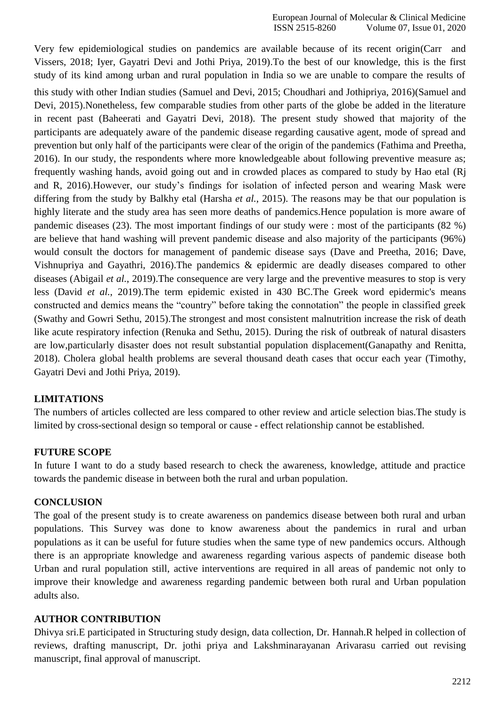Very few epidemiological studies on pandemics are available because of its recent origi[n\(Carr and](https://paperpile.com/c/6lhJLh/JBYR%2BHjAm) [Vissers, 2018; Iyer, Gayatri Devi and Jothi Priya, 2019\).](https://paperpile.com/c/6lhJLh/JBYR%2BHjAm)To the best of our knowledge, this is the first study of its kind among urban and rural population in India so we are unable to compare the results of this study with other Indian studies [\(Samuel and Devi, 2015; Choudhari and Jothipriya, 2016\)\(Samuel and](https://paperpile.com/c/6lhJLh/tACD%2BnXuC) [Devi, 2015\).](https://paperpile.com/c/6lhJLh/tACD)Nonetheless, few comparable studies from other parts of the globe be added in the literature in recent past [\(Baheerati and Gayatri Devi, 2018\).](https://paperpile.com/c/6lhJLh/zUfJ) The present study showed that majority of the participants are adequately aware of the pandemic disease regarding causative agent, mode of spread and prevention but only half of the participants were clear of the origin of the pandemics [\(Fathima and Preetha,](https://paperpile.com/c/6lhJLh/ynny) [2016\).](https://paperpile.com/c/6lhJLh/ynny) In our study, the respondents where more knowledgeable about following preventive measure as; frequently washing hands, avoid going out and in crowded places as compared to study by Hao etal [\(Rj](https://paperpile.com/c/6lhJLh/zomh) [and R, 2016\).](https://paperpile.com/c/6lhJLh/zomh)However, our study's findings for isolation of infected person and wearing Mask were differing from the study by Balkhy etal [\(Harsha](https://paperpile.com/c/6lhJLh/DAEU) *et al.*, 2015). The reasons may be that our population is highly literate and the study area has seen more deaths of pandemics.Hence population is more aware of pandemic diseases (23). The most important findings of our study were : most of the participants (82 %) are believe that hand washing will prevent pandemic disease and also majority of the participants (96%) would consult the doctors for management of pandemic disease says [\(Dave and Preetha, 2016; Dave,](https://paperpile.com/c/6lhJLh/8sS4%2BgksK) [Vishnupriya and Gayathri, 2016\).](https://paperpile.com/c/6lhJLh/8sS4%2BgksK)The pandemics & epidermic are deadly diseases compared to other diseases [\(Abigail](https://paperpile.com/c/6lhJLh/NCZa) *et al.*, 2019).The consequence are very large and the preventive measures to stop is very less [\(David](https://paperpile.com/c/6lhJLh/6ED9) *et al.*, 2019).The term epidemic existed in 430 BC.The Greek word epidermic's means constructed and demics means the "country" before taking the connotation" the people in classified greek [\(Swathy and Gowri Sethu, 2015\).](https://paperpile.com/c/6lhJLh/umNN)The strongest and most consistent malnutrition increase the risk of death like acute respiratory infection [\(Renuka and Sethu, 2015\).](https://paperpile.com/c/6lhJLh/7aFD) During the risk of outbreak of natural disasters are low,particularly disaster does not result substantial population displacemen[t\(Ganapathy and Renitta,](https://paperpile.com/c/6lhJLh/BUMV) [2018\). C](https://paperpile.com/c/6lhJLh/BUMV)holera global health problems are several thousand death cases that occur each year [\(Timothy,](https://paperpile.com/c/6lhJLh/V0oa) [Gayatri Devi and Jothi Priya,](https://paperpile.com/c/6lhJLh/V0oa) 2019).

# **LIMITATIONS**

The numbers of articles collected are less compared to other review and article selection bias.The study is limited by cross-sectional design so temporal or cause - effect relationship cannot be established.

## **FUTURE SCOPE**

In future I want to do a study based research to check the awareness, knowledge, attitude and practice towards the pandemic disease in between both the rural and urban population.

## **CONCLUSION**

The goal of the present study is to create awareness on pandemics disease between both rural and urban populations. This Survey was done to know awareness about the pandemics in rural and urban populations as it can be useful for future studies when the same type of new pandemics occurs. Although there is an appropriate knowledge and awareness regarding various aspects of pandemic disease both Urban and rural population still, active interventions are required in all areas of pandemic not only to improve their knowledge and awareness regarding pandemic between both rural and Urban population adults also.

## **AUTHOR CONTRIBUTION**

Dhivya sri.E participated in Structuring study design, data collection, Dr. Hannah.R helped in collection of reviews, drafting manuscript, Dr. jothi priya and Lakshminarayanan Arivarasu carried out revising manuscript, final approval of manuscript.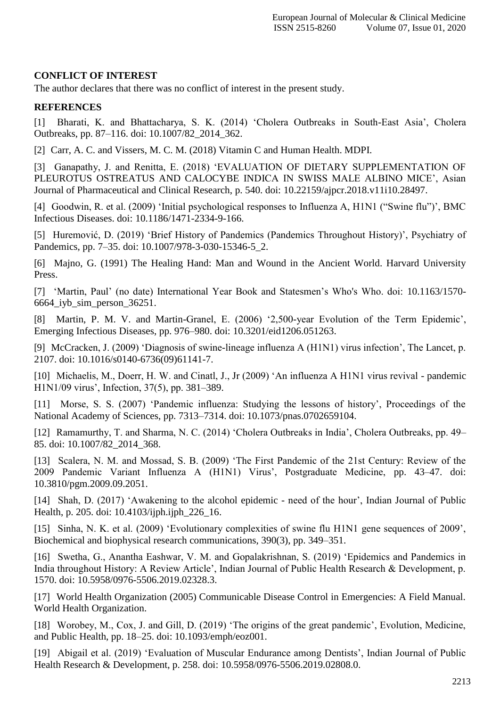## **CONFLICT OF INTEREST**

The author declares that there was no conflict of interest in the present study.

#### **REFERENCES**

[1] [Bharati, K. and Bhattacharya, S. K. \(2014\) 'Cholera Outbreaks in South-East Asia', Cholera](http://paperpile.com/b/6lhJLh/uF1W) [Outbreaks, pp. 87–116. doi: 10.1007/82\\_2014\\_362](http://paperpile.com/b/6lhJLh/uF1W)[.](http://dx.doi.org/10.1007/82_2014_362)

[2] [Carr, A. C. and Vissers, M. C. M. \(2018\) Vitamin C and Human Health.](http://paperpile.com/b/6lhJLh/JBYR) MDPI.

[3] [Ganapathy, J. and Renitta, E. \(2018\) 'EVALUATION OF DIETARY SUPPLEMENTATION OF](http://paperpile.com/b/6lhJLh/BUMV) [PLEUROTUS OSTREATUS AND CALOCYBE INDICA IN SWISS MALE ALBINO MICE', Asian](http://paperpile.com/b/6lhJLh/BUMV) [Journal of Pharmaceutical and Clinical Research, p. 540. doi:](http://paperpile.com/b/6lhJLh/BUMV) [10.22159/ajpcr.2018.v11i10.28497.](http://paperpile.com/b/6lhJLh/BUMV)

[4] [Goodwin, R. et al. \(2009\) 'Initial psychological responses to Influenza A, H1N1 \("Swine flu"\)', BMC](http://paperpile.com/b/6lhJLh/TAsX) [Infectious Diseases. doi:](http://paperpile.com/b/6lhJLh/TAsX) [10.1186/1471-2334-9-166](http://paperpile.com/b/6lhJLh/TAsX)[.](http://dx.doi.org/10.1186/1471-2334-9-166)

[5] [Huremović, D. \(2019\) 'Brief History of Pandemics \(Pandemics Throughout History\)', Psychiatry of](http://paperpile.com/b/6lhJLh/kVaM) [Pandemics, pp. 7–35. doi: 10.1007/978-3-030-15346-5\\_2.](http://paperpile.com/b/6lhJLh/kVaM)

[6] [Majno, G. \(1991\) The Healing Hand: Man and Wound in the Ancient World. Harvard University](http://paperpile.com/b/6lhJLh/m6fO) [Press.](http://paperpile.com/b/6lhJLh/m6fO)

[7] ['Martin, Paul' \(no date\) International Year Book and Statesmen's Who's Who. doi:](http://paperpile.com/b/6lhJLh/5Ncz) [10.1163/1570-](http://paperpile.com/b/6lhJLh/5Ncz) [6664\\_iyb\\_sim\\_person\\_36251.](http://dx.doi.org/10.1163/1570-6664_iyb_sim_person_36251)

[8] [Martin, P. M. V. and Martin-Granel, E. \(2006\) '2,500-year Evolution of the Term Epidemic',](http://paperpile.com/b/6lhJLh/SWK3) [Emerging Infectious Diseases, pp. 976–980. doi:](http://paperpile.com/b/6lhJLh/SWK3) [10.3201/eid1206.051263](http://paperpile.com/b/6lhJLh/SWK3)[.](http://dx.doi.org/10.3201/eid1206.051263)

[9] [McCracken, J. \(2009\) 'Diagnosis of swine-lineage influenza A \(H1N1\) virus infection', The Lancet, p.](http://paperpile.com/b/6lhJLh/eDPp) [2107. doi: 10.1016/s0140-6736\(09\)61141-7.](http://paperpile.com/b/6lhJLh/eDPp)

[10] [Michaelis, M., Doerr, H. W. and Cinatl, J., Jr \(2009\) 'An influenza A H1N1 virus revival -](http://paperpile.com/b/6lhJLh/Fx6E) pandemi[c](http://paperpile.com/b/6lhJLh/Fx6E) [H1N1/09 virus', Infection, 37\(5\), pp.](http://paperpile.com/b/6lhJLh/Fx6E) 381–389.

[11] [Morse, S. S. \(2007\) 'Pandemic influenza: Studying the lessons of history', Proceedings of the](http://paperpile.com/b/6lhJLh/SlVL) [National Academy of Sciences, pp. 7313–7314. doi:](http://paperpile.com/b/6lhJLh/SlVL) [10.1073/pnas.0702659104](http://paperpile.com/b/6lhJLh/SlVL)[.](http://dx.doi.org/10.1073/pnas.0702659104)

[12] [Ramamurthy, T. and Sharma, N. C. \(2014\) 'Cholera Outbreaks in India', Cholera Outbreaks, pp. 49–](http://paperpile.com/b/6lhJLh/QPt7) [85. doi: 10.1007/82\\_2014\\_368](http://paperpile.com/b/6lhJLh/QPt7)[.](http://dx.doi.org/10.1007/82_2014_368)

[13] [Scalera, N. M. and Mossad, S. B. \(2009\) 'The First Pandemic of the 21st Century: Review of the](http://paperpile.com/b/6lhJLh/uIp5) [2009 Pandemic Variant Influenza A \(H1N1\) Virus', Postgraduate Medicine,](http://paperpile.com/b/6lhJLh/uIp5) pp. 43–47. doi[:](http://paperpile.com/b/6lhJLh/uIp5) [10.3810/pgm.2009.09.2051.](http://dx.doi.org/10.3810/pgm.2009.09.2051)

[14] [Shah, D. \(2017\) 'Awakening to the alcohol epidemic -](http://paperpile.com/b/6lhJLh/Ohcg) need of the hour', Indian Journal of Publi[c](http://paperpile.com/b/6lhJLh/Ohcg) [Health, p. 205. doi: 10.4103/ijph.ijph\\_226\\_16](http://paperpile.com/b/6lhJLh/Ohcg)[.](http://dx.doi.org/10.4103/ijph.ijph_226_16)

[15] [Sinha, N. K. et al. \(2009\) 'Evolutionary complexities of swine flu H1N1 gene sequences of 2009',](http://paperpile.com/b/6lhJLh/jbSg) [Biochemical and biophysical research communications, 390\(3\), pp. 349–351.](http://paperpile.com/b/6lhJLh/jbSg)

[16] [Swetha, G., Anantha Eashwar, V. M. and Gopalakrishnan, S. \(2019\) 'Epidemics and Pandemics in](http://paperpile.com/b/6lhJLh/XTqC) [India throughout History: A Review Article', Indian Journal of Public Health Research & Development, p.](http://paperpile.com/b/6lhJLh/XTqC) [1570. doi: 10.5958/0976-5506.2019.02328.3.](http://paperpile.com/b/6lhJLh/XTqC)

[17] [World Health Organization \(2005\) Communicable Disease Control in Emergencies: A Field Manual.](http://paperpile.com/b/6lhJLh/mcYS) [World Health](http://paperpile.com/b/6lhJLh/mcYS) Organization.

[18] [Worobey, M., Cox, J. and Gill, D. \(2019\) 'The origins of the great pandemic', Evolution, Medicine,](http://paperpile.com/b/6lhJLh/S1kd) [and Public Health, pp. 18–25. doi:](http://paperpile.com/b/6lhJLh/S1kd) [10.1093/emph/eoz001](http://paperpile.com/b/6lhJLh/S1kd)[.](http://dx.doi.org/10.1093/emph/eoz001)

[19] [Abigail et al. \(2019\) 'Evaluation of Muscular Endurance among Dentists', Indian Journal of Public](http://paperpile.com/b/6lhJLh/NCZa) [Health Research & Development, p. 258. doi:](http://paperpile.com/b/6lhJLh/NCZa) [10.5958/0976-5506.2019.02808.0](http://paperpile.com/b/6lhJLh/NCZa)[.](http://dx.doi.org/10.5958/0976-5506.2019.02808.0)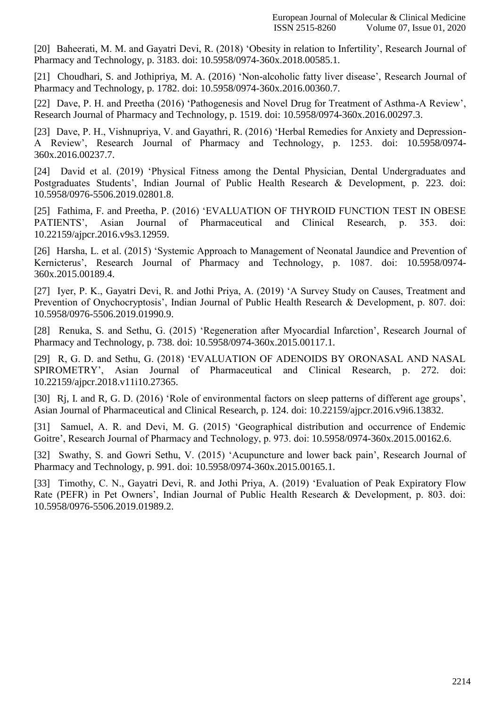[20] [Baheerati, M. M. and Gayatri Devi, R. \(2018\) 'Obesity in relation to Infertility', Research Journal of](http://paperpile.com/b/6lhJLh/zUfJ) [Pharmacy and Technology, p. 3183. doi:](http://paperpile.com/b/6lhJLh/zUfJ) [10.5958/0974-360x.2018.00585.1](http://paperpile.com/b/6lhJLh/zUfJ)[.](http://dx.doi.org/10.5958/0974-360x.2018.00585.1)

[21] [Choudhari, S. and Jothipriya, M. A. \(2016\) 'Non-alcoholic fatty liver disease', Research Journal of](http://paperpile.com/b/6lhJLh/nXuC) [Pharmacy and Technology, p. 1782. doi:](http://paperpile.com/b/6lhJLh/nXuC) [10.5958/0974-360x.2016.00360.7](http://paperpile.com/b/6lhJLh/nXuC)[.](http://dx.doi.org/10.5958/0974-360x.2016.00360.7)

[22] [Dave, P. H. and Preetha \(2016\) 'Pathogenesis and Novel Drug for Treatment of Asthma-A Review',](http://paperpile.com/b/6lhJLh/8sS4) [Research Journal of Pharmacy and Technology, p. 1519. doi:](http://paperpile.com/b/6lhJLh/8sS4) [10.5958/0974-360x.2016.00297.3](http://paperpile.com/b/6lhJLh/8sS4)[.](http://dx.doi.org/10.5958/0974-360x.2016.00297.3)

[23] [Dave, P. H., Vishnupriya, V. and Gayathri, R. \(2016\) 'Herbal Remedies for Anxiety and Depression-](http://paperpile.com/b/6lhJLh/gksK)[A Review', Research Journal of Pharmacy and Technology, p. 1253.](http://paperpile.com/b/6lhJLh/gksK) doi: [10.5958/0974-](http://dx.doi.org/10.5958/0974-360x.2016.00237.7) [360x.2016.00237.7.](http://dx.doi.org/10.5958/0974-360x.2016.00237.7)

[24] [David et al. \(2019\) 'Physical Fitness among the Dental Physician, Dental Undergraduates and](http://paperpile.com/b/6lhJLh/6ED9) [Postgraduates Students', Indian Journal of Public Health Research & Development, p.](http://paperpile.com/b/6lhJLh/6ED9) 223. doi[:](http://paperpile.com/b/6lhJLh/6ED9) [10.5958/0976-5506.2019.02801.8.](http://dx.doi.org/10.5958/0976-5506.2019.02801.8)

[25] [Fathima, F. and Preetha, P. \(2016\) 'EVALUATION OF THYROID FUNCTION TEST IN OBESE](http://paperpile.com/b/6lhJLh/ynny) [PATIENTS', Asian Journal of Pharmaceutical and Clinical Research, p. 353. doi:](http://paperpile.com/b/6lhJLh/ynny) [10.22159/ajpcr.2016.v9s3.12959.](http://dx.doi.org/10.22159/ajpcr.2016.v9s3.12959)

[26] [Harsha, L. et al. \(2015\) 'Systemic Approach to Management of Neonatal Jaundice and Prevention of](http://paperpile.com/b/6lhJLh/DAEU) [Kernicterus', Research Journal of Pharmacy and Technology, p. 1087. doi:](http://paperpile.com/b/6lhJLh/DAEU) [10.5958/0974-](http://dx.doi.org/10.5958/0974-360x.2015.00189.4) [360x.2015.00189.4.](http://dx.doi.org/10.5958/0974-360x.2015.00189.4)

[27] [Iyer, P. K., Gayatri Devi, R. and Jothi Priya, A. \(2019\) 'A Survey Study on Causes, Treatment and](http://paperpile.com/b/6lhJLh/HjAm) [Prevention of Onychocryptosis', Indian Journal of Public Health Research & Development, p. 807. doi:](http://paperpile.com/b/6lhJLh/HjAm) [10.5958/0976-5506.2019.01990.9.](http://dx.doi.org/10.5958/0976-5506.2019.01990.9)

[28] [Renuka, S. and Sethu, G. \(2015\) 'Regeneration after Myocardial Infarction', Research Journal of](http://paperpile.com/b/6lhJLh/7aFD) [Pharmacy and Technology, p. 738. doi:](http://paperpile.com/b/6lhJLh/7aFD) [10.5958/0974-360x.2015.00117.1](http://paperpile.com/b/6lhJLh/7aFD)[.](http://dx.doi.org/10.5958/0974-360x.2015.00117.1)

[29] [R, G. D. and Sethu, G. \(2018\) 'EVALUATION OF ADENOIDS BY ORONASAL AND NASAL](http://paperpile.com/b/6lhJLh/lDtz) [SPIROMETRY', Asian Journal of Pharmaceutical and Clinical Research, p. 272. doi:](http://paperpile.com/b/6lhJLh/lDtz) [10.22159/ajpcr.2018.v11i10.27365.](http://dx.doi.org/10.22159/ajpcr.2018.v11i10.27365)

[30] Rj, I. and R, G. [D. \(2016\) 'Role of environmental factors on sleep patterns of different age groups',](http://paperpile.com/b/6lhJLh/zomh) [Asian Journal of Pharmaceutical and Clinical Research, p. 124. doi: 10.22159/ajpcr.2016.v9i6.13832.](http://paperpile.com/b/6lhJLh/zomh)

[31] [Samuel, A. R. and Devi, M. G. \(2015\) 'Geographical distribution and occurrence of Endemic](http://paperpile.com/b/6lhJLh/tACD) [Goitre', Research Journal of Pharmacy and Technology, p. 973. doi:](http://paperpile.com/b/6lhJLh/tACD) [10.5958/0974-360x.2015.00162.6](http://paperpile.com/b/6lhJLh/tACD)[.](http://dx.doi.org/10.5958/0974-360x.2015.00162.6)

[32] [Swathy, S. and Gowri Sethu, V. \(2015\) 'Acupuncture and lower back pain', Research Journal of](http://paperpile.com/b/6lhJLh/umNN) [Pharmacy and Technology, p. 991. doi:](http://paperpile.com/b/6lhJLh/umNN) [10.5958/0974-360x.2015.00165.1](http://paperpile.com/b/6lhJLh/umNN)[.](http://dx.doi.org/10.5958/0974-360x.2015.00165.1)

[33] [Timothy, C. N., Gayatri Devi, R. and Jothi Priya, A. \(2019\) 'Evaluation of Peak Expiratory Flow](http://paperpile.com/b/6lhJLh/V0oa) [Rate \(PEFR\) in Pet Owners', Indian Journal of Public Health Research & Development, p. 803. doi:](http://paperpile.com/b/6lhJLh/V0oa) [10.5958/0976-5506.2019.01989.2.](http://dx.doi.org/10.5958/0976-5506.2019.01989.2)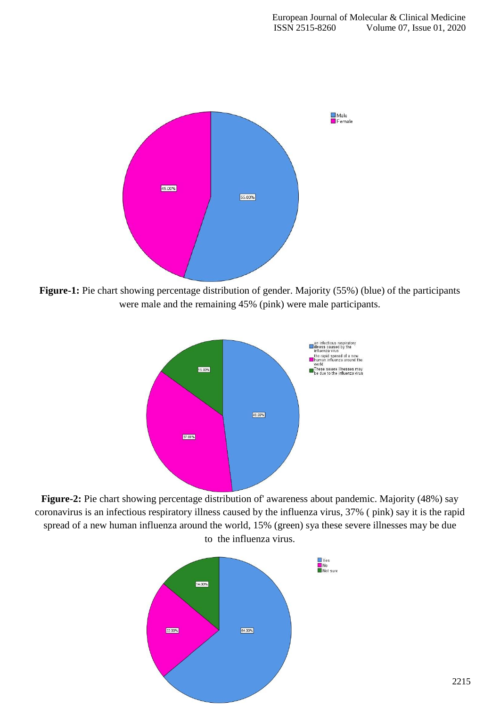

**Figure-1:** Pie chart showing percentage distribution of gender. Majority (55%) (blue) of the participants were male and the remaining 45% (pink) were male participants.



**Figure-2:** Pie chart showing percentage distribution of' awareness about pandemic. Majority (48%) say coronavirus is an infectious respiratory illness caused by the influenza virus, 37% ( pink) say it is the rapid spread of a new human influenza around the world, 15% (green) sya these severe illnesses may be due to the influenza virus.

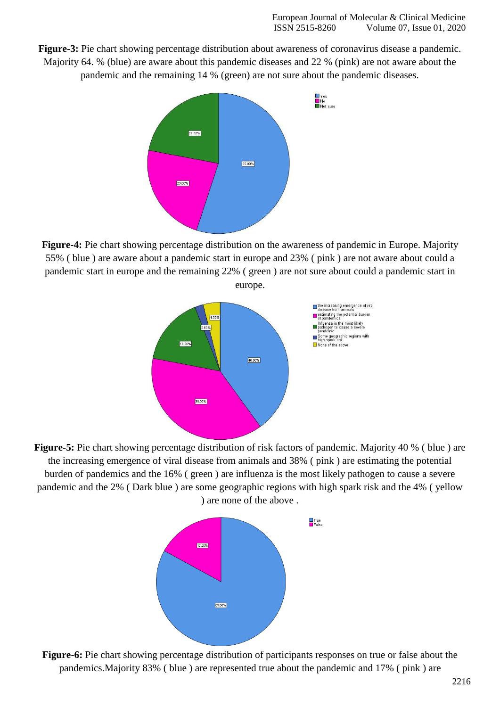**Figure-3:** Pie chart showing percentage distribution about awareness of coronavirus disease a pandemic. Majority 64. % (blue) are aware about this pandemic diseases and 22 % (pink) are not aware about the pandemic and the remaining 14 % (green) are not sure about the pandemic diseases.



**Figure-4:** Pie chart showing percentage distribution on the awareness of pandemic in Europe. Majority 55% ( blue ) are aware about a pandemic start in europe and 23% ( pink ) are not aware about could a pandemic start in europe and the remaining 22% ( green ) are not sure about could a pandemic start in europe.



**Figure-5:** Pie chart showing percentage distribution of risk factors of pandemic. Majority 40 % (blue) are the increasing emergence of viral disease from animals and 38% ( pink ) are estimating the potential burden of pandemics and the 16% ( green ) are influenza is the most likely pathogen to cause a severe pandemic and the 2% ( Dark blue ) are some geographic regions with high spark risk and the 4% ( yellow ) are none of the above .



**Figure-6:** Pie chart showing percentage distribution of participants responses on true or false about the pandemics.Majority 83% ( blue ) are represented true about the pandemic and 17% ( pink ) are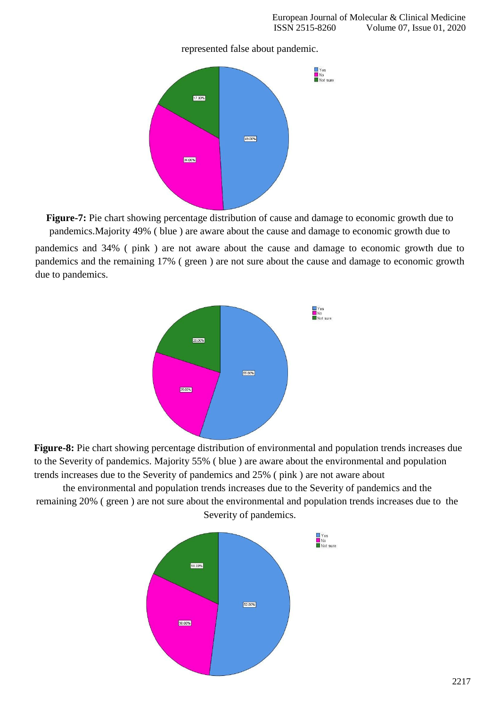



**Figure-7:** Pie chart showing percentage distribution of cause and damage to economic growth due to pandemics.Majority 49% ( blue ) are aware about the cause and damage to economic growth due to

pandemics and 34% ( pink ) are not aware about the cause and damage to economic growth due to pandemics and the remaining 17% ( green ) are not sure about the cause and damage to economic growth due to pandemics.



**Figure-8:** Pie chart showing percentage distribution of environmental and population trends increases due to the Severity of pandemics. Majority 55% ( blue ) are aware about the environmental and population trends increases due to the Severity of pandemics and 25% ( pink ) are not aware about

the environmental and population trends increases due to the Severity of pandemics and the remaining 20% ( green ) are not sure about the environmental and population trends increases due to the Severity of pandemics.

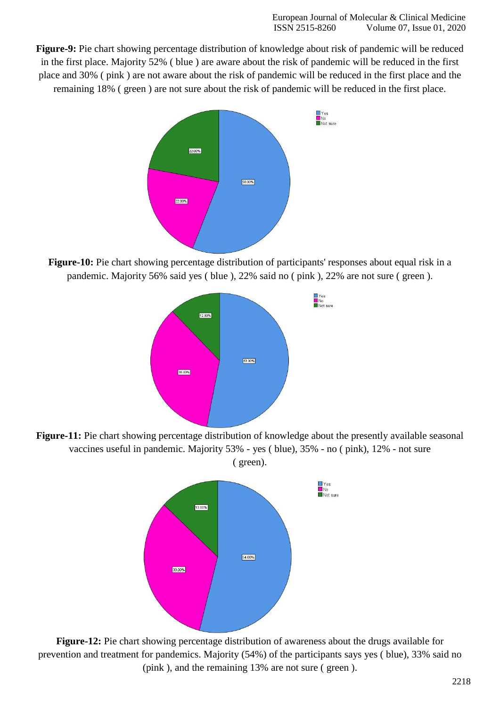**Figure-9:** Pie chart showing percentage distribution of knowledge about risk of pandemic will be reduced in the first place. Majority 52% ( blue ) are aware about the risk of pandemic will be reduced in the first place and 30% ( pink ) are not aware about the risk of pandemic will be reduced in the first place and the remaining 18% ( green ) are not sure about the risk of pandemic will be reduced in the first place.



**Figure-10:** Pie chart showing percentage distribution of participants' responses about equal risk in a pandemic. Majority 56% said yes ( blue ), 22% said no ( pink ), 22% are not sure ( green ).



**Figure-11:** Pie chart showing percentage distribution of knowledge about the presently available seasonal vaccines useful in pandemic. Majority 53% - yes ( blue), 35% - no ( pink), 12% - not sure ( green).



**Figure-12:** Pie chart showing percentage distribution of awareness about the drugs available for prevention and treatment for pandemics. Majority (54%) of the participants says yes ( blue), 33% said no (pink ), and the remaining 13% are not sure ( green ).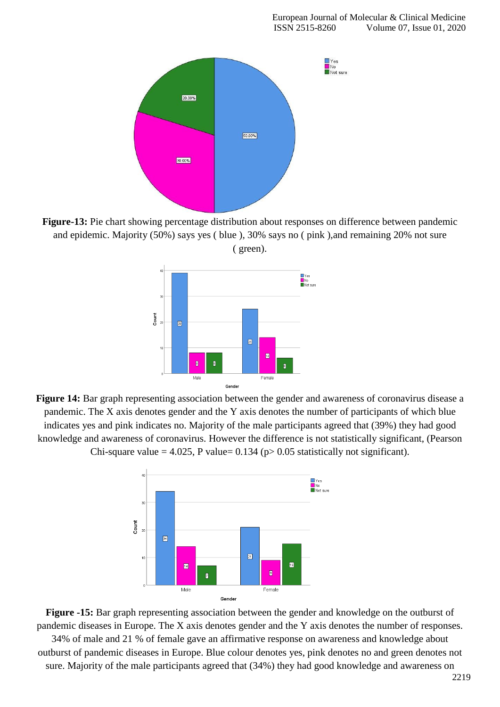

**Figure-13:** Pie chart showing percentage distribution about responses on difference between pandemic and epidemic. Majority (50%) says yes ( blue ), 30% says no ( pink ),and remaining 20% not sure ( green).



**Figure 14:** Bar graph representing association between the gender and awareness of coronavirus disease a pandemic. The X axis denotes gender and the Y axis denotes the number of participants of which blue indicates yes and pink indicates no. Majority of the male participants agreed that (39%) they had good knowledge and awareness of coronavirus. However the difference is not statistically significant, (Pearson Chi-square value = 4.025, P value=  $0.134$  (p $> 0.05$  statistically not significant).



**Figure -15:** Bar graph representing association between the gender and knowledge on the outburst of pandemic diseases in Europe. The X axis denotes gender and the Y axis denotes the number of responses.

34% of male and 21 % of female gave an affirmative response on awareness and knowledge about outburst of pandemic diseases in Europe. Blue colour denotes yes, pink denotes no and green denotes not sure. Majority of the male participants agreed that (34%) they had good knowledge and awareness on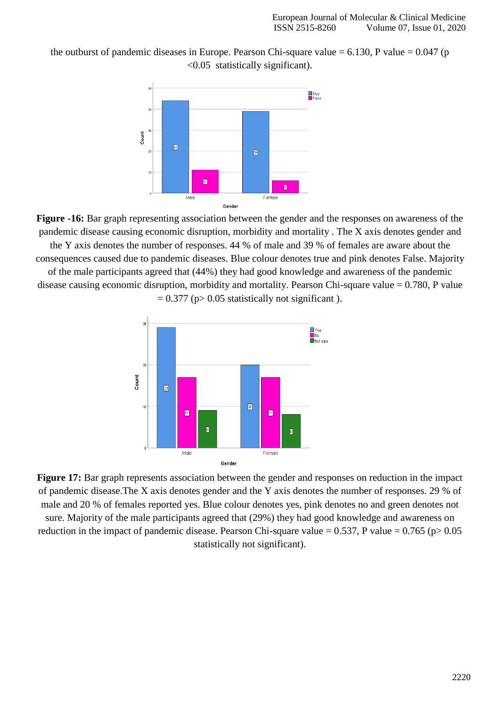the outburst of pandemic diseases in Europe. Pearson Chi-square value  $= 6.130$ , P value  $= 0.047$  (p <0.05 statistically significant).



**Figure -16:** Bar graph representing association between the gender and the responses on awareness of the pandemic disease causing economic disruption, morbidity and mortality . The X axis denotes gender and the Y axis denotes the number of responses. 44 % of male and 39 % of females are aware about the consequences caused due to pandemic diseases. Blue colour denotes true and pink denotes False. Majority of the male participants agreed that (44%) they had good knowledge and awareness of the pandemic disease causing economic disruption, morbidity and mortality. Pearson Chi-square value = 0.780, P value  $= 0.377$  (p $> 0.05$  statistically not significant).



**Figure 17:** Bar graph represents association between the gender and responses on reduction in the impact of pandemic disease.The X axis denotes gender and the Y axis denotes the number of responses. 29 % of male and 20 % of females reported yes. Blue colour denotes yes, pink denotes no and green denotes not sure. Majority of the male participants agreed that (29%) they had good knowledge and awareness on reduction in the impact of pandemic disease. Pearson Chi-square value =  $0.537$ , P value =  $0.765$  (p $> 0.05$ ) statistically not significant).